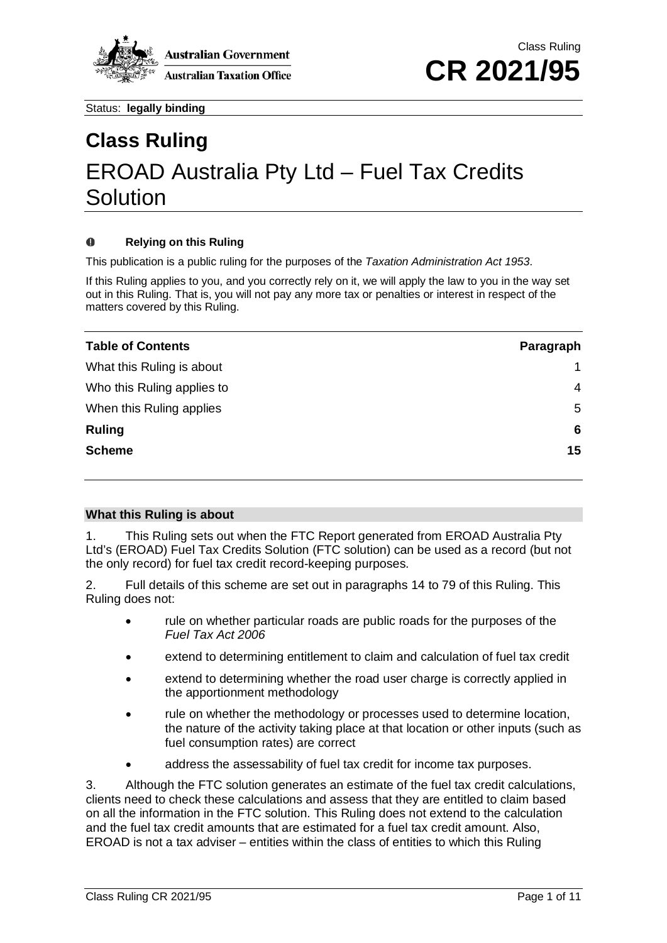

# **Class Ruling** EROAD Australia Pty Ltd – Fuel Tax Credits **Solution**

#### $\Omega$ **Relying on this Ruling**

This publication is a public ruling for the purposes of the *Taxation Administration Act 1953*.

If this Ruling applies to you, and you correctly rely on it, we will apply the law to you in the way set out in this Ruling. That is, you will not pay any more tax or penalties or interest in respect of the matters covered by this Ruling.

| <b>Table of Contents</b>   | Paragraph |
|----------------------------|-----------|
| What this Ruling is about  |           |
| Who this Ruling applies to | 4         |
| When this Ruling applies   | 5         |
| <b>Ruling</b>              | 6         |
| <b>Scheme</b>              | 15        |

#### **What this Ruling is about**

1. This Ruling sets out when the FTC Report generated from EROAD Australia Pty Ltd's (EROAD) Fuel Tax Credits Solution (FTC solution) can be used as a record (but not the only record) for fuel tax credit record-keeping purposes.

2. Full details of this scheme are set out in paragraphs 14 to 79 of this Ruling. This Ruling does not:

- rule on whether particular roads are public roads for the purposes of the *Fuel Tax Act 2006*
- extend to determining entitlement to claim and calculation of fuel tax credit
- extend to determining whether the road user charge is correctly applied in the apportionment methodology
- rule on whether the methodology or processes used to determine location, the nature of the activity taking place at that location or other inputs (such as fuel consumption rates) are correct
- address the assessability of fuel tax credit for income tax purposes.

3. Although the FTC solution generates an estimate of the fuel tax credit calculations, clients need to check these calculations and assess that they are entitled to claim based on all the information in the FTC solution. This Ruling does not extend to the calculation and the fuel tax credit amounts that are estimated for a fuel tax credit amount. Also, EROAD is not a tax adviser – entities within the class of entities to which this Ruling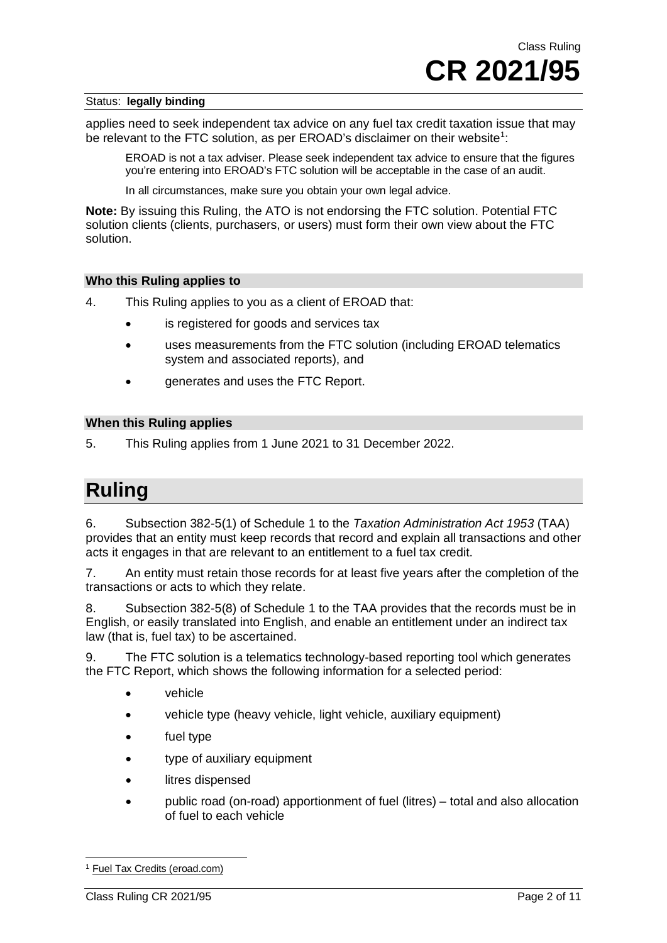applies need to seek independent tax advice on any fuel tax credit taxation issue that may be relevant to the FTC solution, as per EROAD's disclaimer on their website<sup>[1](#page-1-0)</sup>:

EROAD is not a tax adviser. Please seek independent tax advice to ensure that the figures you're entering into EROAD's FTC solution will be acceptable in the case of an audit.

In all circumstances, make sure you obtain your own legal advice.

**Note:** By issuing this Ruling, the ATO is not endorsing the FTC solution. Potential FTC solution clients (clients, purchasers, or users) must form their own view about the FTC solution.

#### **Who this Ruling applies to**

- 4. This Ruling applies to you as a client of EROAD that:
	- is registered for goods and services tax
	- uses measurements from the FTC solution (including EROAD telematics system and associated reports), and
	- generates and uses the FTC Report.

#### **When this Ruling applies**

5. This Ruling applies from 1 June 2021 to 31 December 2022.

## **Ruling**

6. Subsection 382-5(1) of Schedule 1 to the *Taxation Administration Act 1953* (TAA) provides that an entity must keep records that record and explain all transactions and other acts it engages in that are relevant to an entitlement to a fuel tax credit.

7. An entity must retain those records for at least five years after the completion of the transactions or acts to which they relate.

8. Subsection 382-5(8) of Schedule 1 to the TAA provides that the records must be in English, or easily translated into English, and enable an entitlement under an indirect tax law (that is, fuel tax) to be ascertained.

9. The FTC solution is a telematics technology-based reporting tool which generates the FTC Report, which shows the following information for a selected period:

- vehicle
- vehicle type (heavy vehicle, light vehicle, auxiliary equipment)
- fuel type
- type of auxiliary equipment
- litres dispensed
- public road (on-road) apportionment of fuel (litres) total and also allocation of fuel to each vehicle

<span id="page-1-0"></span><sup>1</sup> [Fuel Tax Credits \(eroad.com\)](https://help.eroad.com/au/depot/tax/fuel-tax-credits/)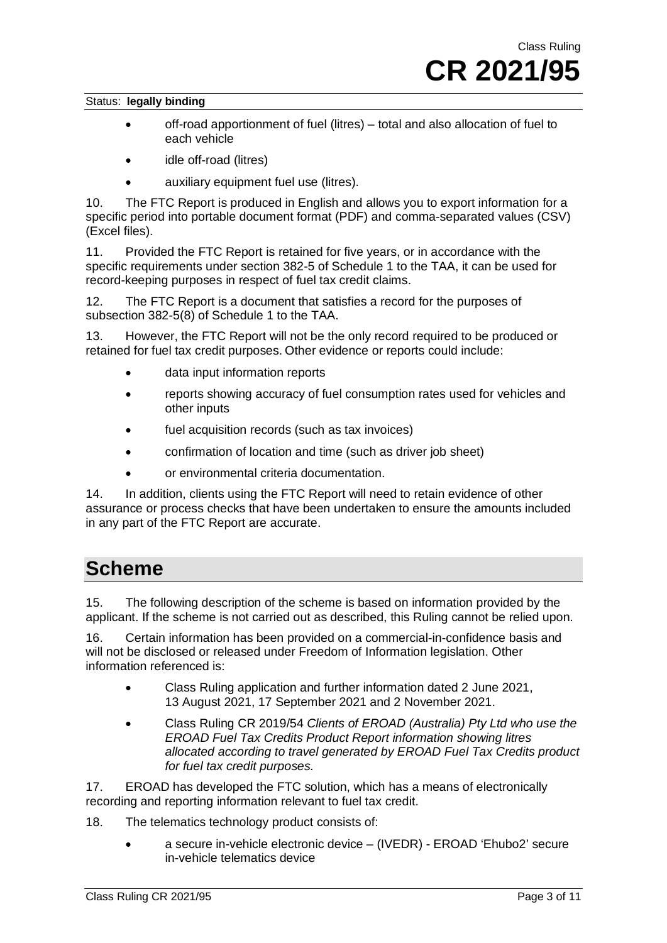- off-road apportionment of fuel (litres) total and also allocation of fuel to each vehicle
- idle off-road (litres)
- auxiliary equipment fuel use (litres).

10. The FTC Report is produced in English and allows you to export information for a specific period into portable document format (PDF) and comma-separated values (CSV) (Excel files).

11. Provided the FTC Report is retained for five years, or in accordance with the specific requirements under section 382-5 of Schedule 1 to the TAA, it can be used for record-keeping purposes in respect of fuel tax credit claims.

12. The FTC Report is a document that satisfies a record for the purposes of subsection 382-5(8) of Schedule 1 to the TAA.

13. However, the FTC Report will not be the only record required to be produced or retained for fuel tax credit purposes. Other evidence or reports could include:

- data input information reports
- reports showing accuracy of fuel consumption rates used for vehicles and other inputs
- fuel acquisition records (such as tax invoices)
- confirmation of location and time (such as driver job sheet)
- or environmental criteria documentation.

14. In addition, clients using the FTC Report will need to retain evidence of other assurance or process checks that have been undertaken to ensure the amounts included in any part of the FTC Report are accurate.

### **Scheme**

15. The following description of the scheme is based on information provided by the applicant. If the scheme is not carried out as described, this Ruling cannot be relied upon.

16. Certain information has been provided on a commercial-in-confidence basis and will not be disclosed or released under Freedom of Information legislation. Other information referenced is:

- Class Ruling application and further information dated 2 June 2021, 13 August 2021, 17 September 2021 and 2 November 2021.
- Class Ruling CR 2019/54 *Clients of EROAD (Australia) Pty Ltd who use the EROAD Fuel Tax Credits Product Report information showing litres allocated according to travel generated by EROAD Fuel Tax Credits product for fuel tax credit purposes.*

17. EROAD has developed the FTC solution, which has a means of electronically recording and reporting information relevant to fuel tax credit.

- 18. The telematics technology product consists of:
	- a secure in-vehicle electronic device (IVEDR) EROAD 'Ehubo2' secure in-vehicle telematics device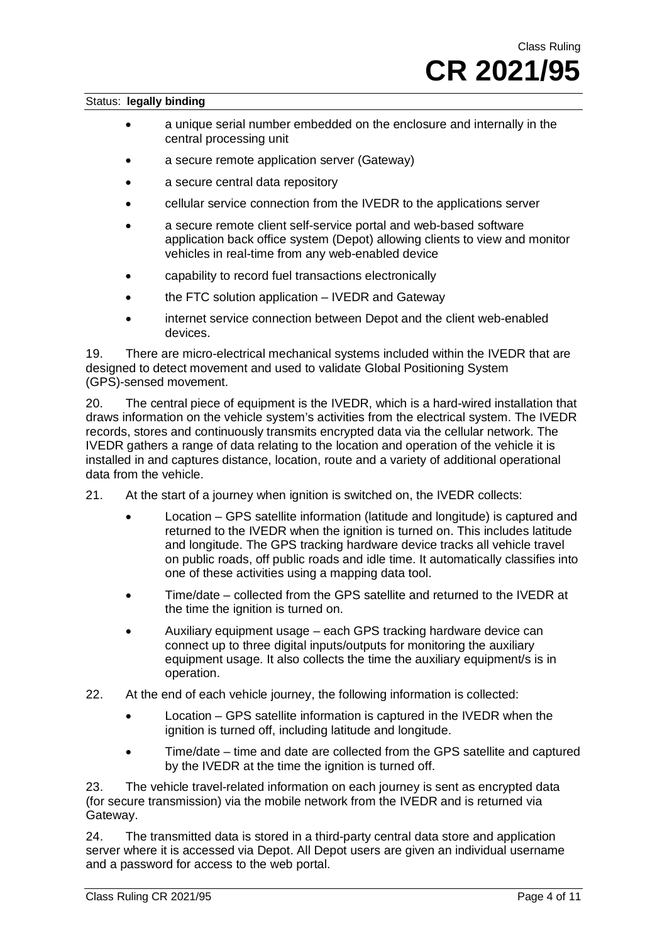- a unique serial number embedded on the enclosure and internally in the central processing unit
- a secure remote application server (Gateway)
- a secure central data repository
- cellular service connection from the IVEDR to the applications server
- a secure remote client self-service portal and web-based software application back office system (Depot) allowing clients to view and monitor vehicles in real-time from any web-enabled device
- capability to record fuel transactions electronically
- the FTC solution application IVEDR and Gateway
- internet service connection between Depot and the client web-enabled devices.

19. There are micro-electrical mechanical systems included within the IVEDR that are designed to detect movement and used to validate Global Positioning System (GPS)-sensed movement.

20. The central piece of equipment is the IVEDR, which is a hard-wired installation that draws information on the vehicle system's activities from the electrical system. The IVEDR records, stores and continuously transmits encrypted data via the cellular network. The IVEDR gathers a range of data relating to the location and operation of the vehicle it is installed in and captures distance, location, route and a variety of additional operational data from the vehicle.

- 21. At the start of a journey when ignition is switched on, the IVEDR collects:
	- Location GPS satellite information (latitude and longitude) is captured and returned to the IVEDR when the ignition is turned on. This includes latitude and longitude. The GPS tracking hardware device tracks all vehicle travel on public roads, off public roads and idle time. It automatically classifies into one of these activities using a mapping data tool.
	- Time/date collected from the GPS satellite and returned to the IVEDR at the time the ignition is turned on.
	- Auxiliary equipment usage each GPS tracking hardware device can connect up to three digital inputs/outputs for monitoring the auxiliary equipment usage. It also collects the time the auxiliary equipment/s is in operation.
- 22. At the end of each vehicle journey, the following information is collected:
	- Location GPS satellite information is captured in the IVEDR when the ignition is turned off, including latitude and longitude.
	- Time/date time and date are collected from the GPS satellite and captured by the IVEDR at the time the ignition is turned off.

23. The vehicle travel-related information on each journey is sent as encrypted data (for secure transmission) via the mobile network from the IVEDR and is returned via Gateway.

24. The transmitted data is stored in a third-party central data store and application server where it is accessed via Depot. All Depot users are given an individual username and a password for access to the web portal.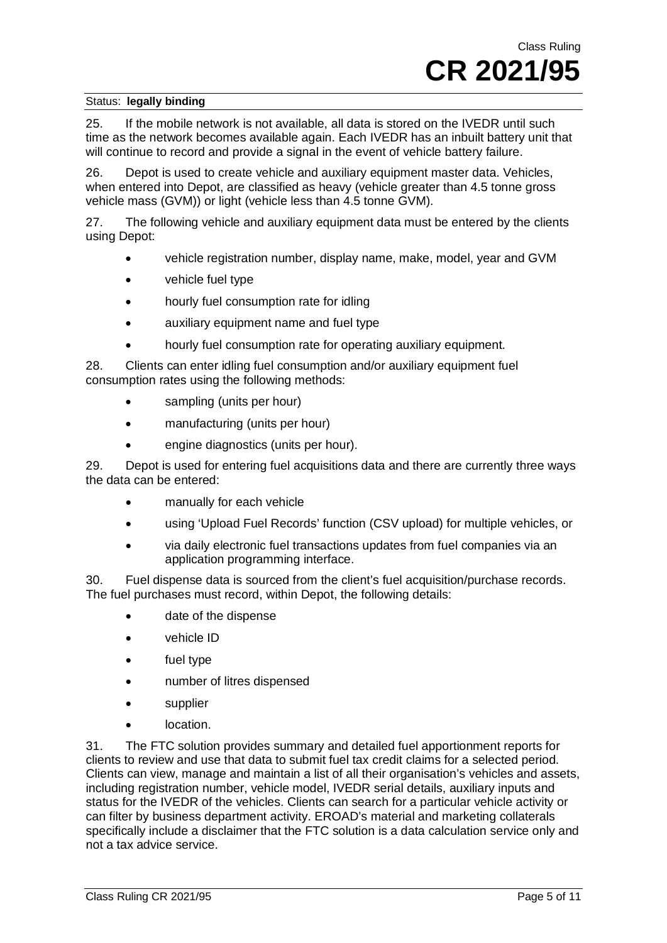25. If the mobile network is not available, all data is stored on the IVEDR until such time as the network becomes available again. Each IVEDR has an inbuilt battery unit that will continue to record and provide a signal in the event of vehicle battery failure.

26. Depot is used to create vehicle and auxiliary equipment master data. Vehicles, when entered into Depot, are classified as heavy (vehicle greater than 4.5 tonne gross vehicle mass (GVM)) or light (vehicle less than 4.5 tonne GVM).

27. The following vehicle and auxiliary equipment data must be entered by the clients using Depot:

- vehicle registration number, display name, make, model, year and GVM
- vehicle fuel type
- hourly fuel consumption rate for idling
- auxiliary equipment name and fuel type
- hourly fuel consumption rate for operating auxiliary equipment.

28. Clients can enter idling fuel consumption and/or auxiliary equipment fuel consumption rates using the following methods:

- sampling (units per hour)
- manufacturing (units per hour)
- engine diagnostics (units per hour).

29. Depot is used for entering fuel acquisitions data and there are currently three ways the data can be entered:

- manually for each vehicle
- using 'Upload Fuel Records' function (CSV upload) for multiple vehicles, or
- via daily electronic fuel transactions updates from fuel companies via an application programming interface.

30. Fuel dispense data is sourced from the client's fuel acquisition/purchase records. The fuel purchases must record, within Depot, the following details:

- date of the dispense
- vehicle ID
- fuel type
- number of litres dispensed
- supplier
- location.

31. The FTC solution provides summary and detailed fuel apportionment reports for clients to review and use that data to submit fuel tax credit claims for a selected period. Clients can view, manage and maintain a list of all their organisation's vehicles and assets, including registration number, vehicle model, IVEDR serial details, auxiliary inputs and status for the IVEDR of the vehicles. Clients can search for a particular vehicle activity or can filter by business department activity. EROAD's material and marketing collaterals specifically include a disclaimer that the FTC solution is a data calculation service only and not a tax advice service.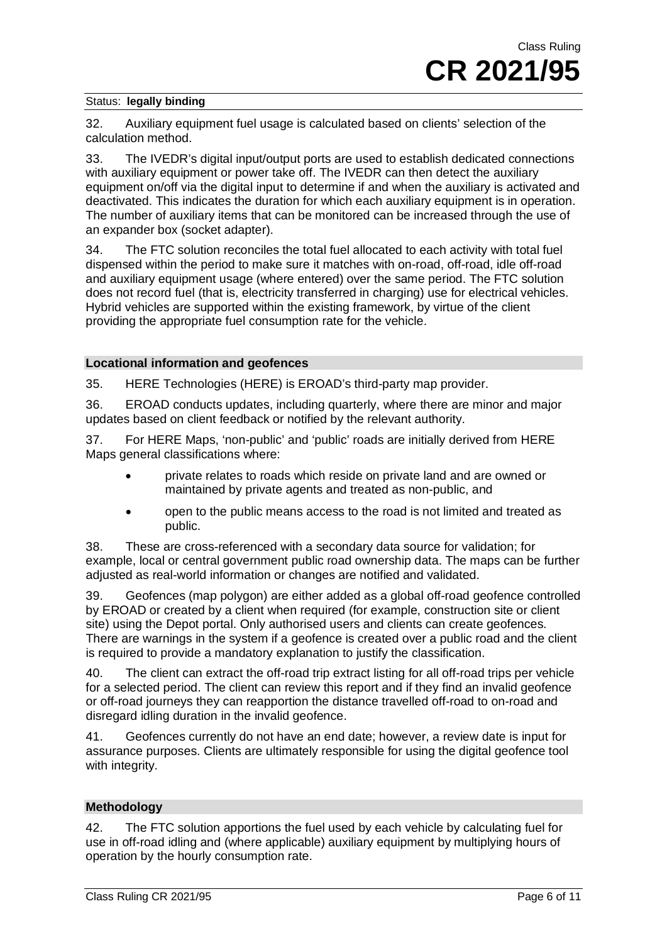32. Auxiliary equipment fuel usage is calculated based on clients' selection of the calculation method.

33. The IVEDR's digital input/output ports are used to establish dedicated connections with auxiliary equipment or power take off. The IVEDR can then detect the auxiliary equipment on/off via the digital input to determine if and when the auxiliary is activated and deactivated. This indicates the duration for which each auxiliary equipment is in operation. The number of auxiliary items that can be monitored can be increased through the use of an expander box (socket adapter).

34. The FTC solution reconciles the total fuel allocated to each activity with total fuel dispensed within the period to make sure it matches with on-road, off-road, idle off-road and auxiliary equipment usage (where entered) over the same period. The FTC solution does not record fuel (that is, electricity transferred in charging) use for electrical vehicles. Hybrid vehicles are supported within the existing framework, by virtue of the client providing the appropriate fuel consumption rate for the vehicle.

#### **Locational information and geofences**

35. HERE Technologies (HERE) is EROAD's third-party map provider.

36. EROAD conducts updates, including quarterly, where there are minor and major updates based on client feedback or notified by the relevant authority.

37. For HERE Maps, 'non-public' and 'public' roads are initially derived from HERE Maps general classifications where:

- private relates to roads which reside on private land and are owned or maintained by private agents and treated as non-public, and
- open to the public means access to the road is not limited and treated as public.

38. These are cross-referenced with a secondary data source for validation; for example, local or central government public road ownership data. The maps can be further adjusted as real-world information or changes are notified and validated.

39. Geofences (map polygon) are either added as a global off-road geofence controlled by EROAD or created by a client when required (for example, construction site or client site) using the Depot portal. Only authorised users and clients can create geofences. There are warnings in the system if a geofence is created over a public road and the client is required to provide a mandatory explanation to justify the classification.

40. The client can extract the off-road trip extract listing for all off-road trips per vehicle for a selected period. The client can review this report and if they find an invalid geofence or off-road journeys they can reapportion the distance travelled off-road to on-road and disregard idling duration in the invalid geofence.

41. Geofences currently do not have an end date; however, a review date is input for assurance purposes. Clients are ultimately responsible for using the digital geofence tool with integrity.

#### **Methodology**

42. The FTC solution apportions the fuel used by each vehicle by calculating fuel for use in off-road idling and (where applicable) auxiliary equipment by multiplying hours of operation by the hourly consumption rate.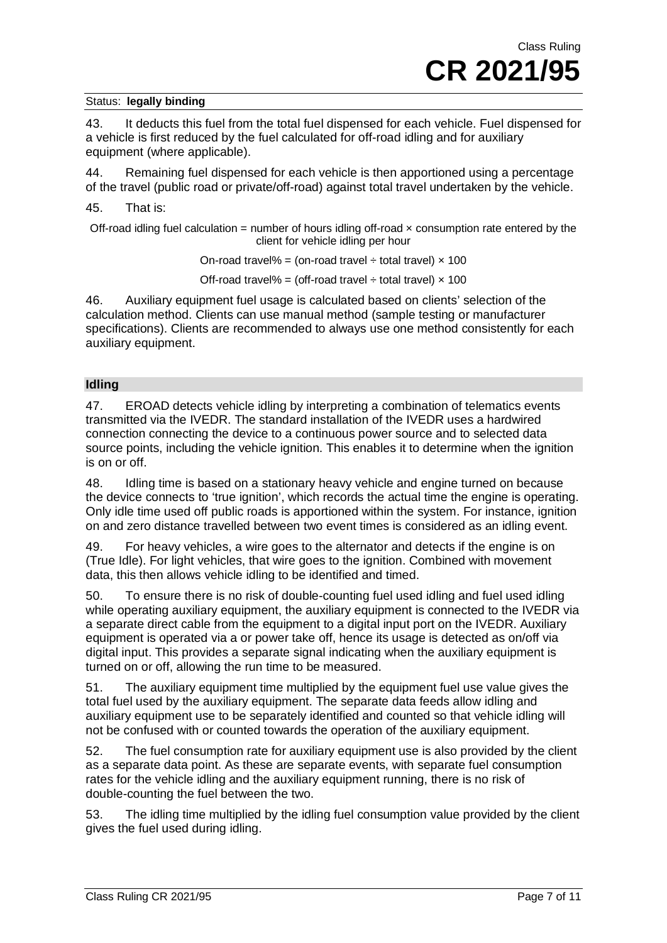43. It deducts this fuel from the total fuel dispensed for each vehicle. Fuel dispensed for a vehicle is first reduced by the fuel calculated for off-road idling and for auxiliary equipment (where applicable).

44. Remaining fuel dispensed for each vehicle is then apportioned using a percentage of the travel (public road or private/off-road) against total travel undertaken by the vehicle.

#### 45. That is:

Off-road idling fuel calculation = number of hours idling off-road  $\times$  consumption rate entered by the client for vehicle idling per hour

On-road travel% = (on-road travel  $\div$  total travel)  $\times$  100

Off-road travel% = (off-road travel  $\div$  total travel)  $\times$  100

46. Auxiliary equipment fuel usage is calculated based on clients' selection of the calculation method. Clients can use manual method (sample testing or manufacturer specifications). Clients are recommended to always use one method consistently for each auxiliary equipment.

#### **Idling**

47. EROAD detects vehicle idling by interpreting a combination of telematics events transmitted via the IVEDR. The standard installation of the IVEDR uses a hardwired connection connecting the device to a continuous power source and to selected data source points, including the vehicle ignition. This enables it to determine when the ignition is on or off.

48. Idling time is based on a stationary heavy vehicle and engine turned on because the device connects to 'true ignition', which records the actual time the engine is operating. Only idle time used off public roads is apportioned within the system. For instance, ignition on and zero distance travelled between two event times is considered as an idling event.

49. For heavy vehicles, a wire goes to the alternator and detects if the engine is on (True Idle). For light vehicles, that wire goes to the ignition. Combined with movement data, this then allows vehicle idling to be identified and timed.

50. To ensure there is no risk of double-counting fuel used idling and fuel used idling while operating auxiliary equipment, the auxiliary equipment is connected to the IVEDR via a separate direct cable from the equipment to a digital input port on the IVEDR. Auxiliary equipment is operated via a or power take off, hence its usage is detected as on/off via digital input. This provides a separate signal indicating when the auxiliary equipment is turned on or off, allowing the run time to be measured.

51. The auxiliary equipment time multiplied by the equipment fuel use value gives the total fuel used by the auxiliary equipment. The separate data feeds allow idling and auxiliary equipment use to be separately identified and counted so that vehicle idling will not be confused with or counted towards the operation of the auxiliary equipment.

52. The fuel consumption rate for auxiliary equipment use is also provided by the client as a separate data point. As these are separate events, with separate fuel consumption rates for the vehicle idling and the auxiliary equipment running, there is no risk of double-counting the fuel between the two.

53. The idling time multiplied by the idling fuel consumption value provided by the client gives the fuel used during idling.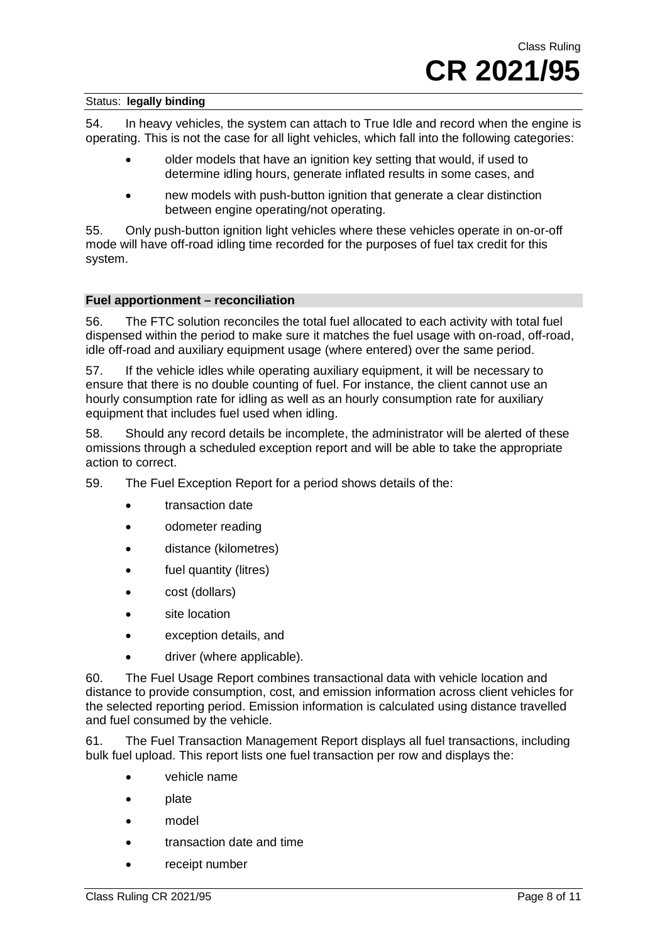54. In heavy vehicles, the system can attach to True Idle and record when the engine is operating. This is not the case for all light vehicles, which fall into the following categories:

- older models that have an ignition key setting that would, if used to determine idling hours, generate inflated results in some cases, and
- new models with push-button ignition that generate a clear distinction between engine operating/not operating.

55. Only push-button ignition light vehicles where these vehicles operate in on-or-off mode will have off-road idling time recorded for the purposes of fuel tax credit for this system.

#### **Fuel apportionment – reconciliation**

56. The FTC solution reconciles the total fuel allocated to each activity with total fuel dispensed within the period to make sure it matches the fuel usage with on-road, off-road, idle off-road and auxiliary equipment usage (where entered) over the same period.

57. If the vehicle idles while operating auxiliary equipment, it will be necessary to ensure that there is no double counting of fuel. For instance, the client cannot use an hourly consumption rate for idling as well as an hourly consumption rate for auxiliary equipment that includes fuel used when idling.

58. Should any record details be incomplete, the administrator will be alerted of these omissions through a scheduled exception report and will be able to take the appropriate action to correct.

59. The Fuel Exception Report for a period shows details of the:

- transaction date
- odometer reading
- distance (kilometres)
- fuel quantity (litres)
- cost (dollars)
- site location
- exception details, and
- driver (where applicable).

60. The Fuel Usage Report combines transactional data with vehicle location and distance to provide consumption, cost, and emission information across client vehicles for the selected reporting period. Emission information is calculated using distance travelled and fuel consumed by the vehicle.

61. The Fuel Transaction Management Report displays all fuel transactions, including bulk fuel upload. This report lists one fuel transaction per row and displays the:

- vehicle name
- plate
- model
- transaction date and time
- receipt number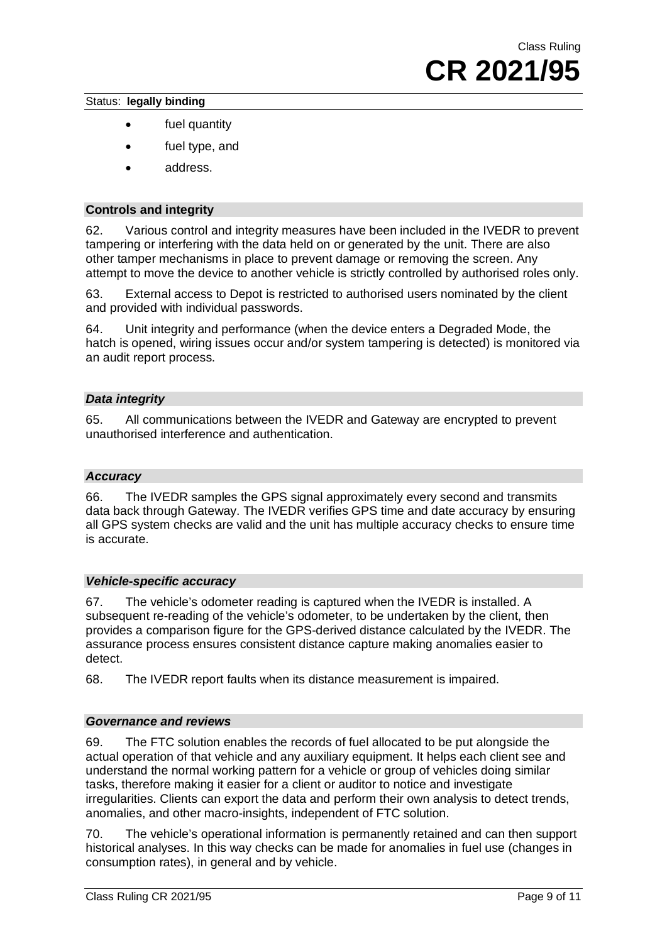- fuel quantity
- fuel type, and
- address.

#### **Controls and integrity**

62. Various control and integrity measures have been included in the IVEDR to prevent tampering or interfering with the data held on or generated by the unit. There are also other tamper mechanisms in place to prevent damage or removing the screen. Any attempt to move the device to another vehicle is strictly controlled by authorised roles only.

63. External access to Depot is restricted to authorised users nominated by the client and provided with individual passwords.

64. Unit integrity and performance (when the device enters a Degraded Mode, the hatch is opened, wiring issues occur and/or system tampering is detected) is monitored via an audit report process.

#### *Data integrity*

65. All communications between the IVEDR and Gateway are encrypted to prevent unauthorised interference and authentication.

#### *Accuracy*

66. The IVEDR samples the GPS signal approximately every second and transmits data back through Gateway. The IVEDR verifies GPS time and date accuracy by ensuring all GPS system checks are valid and the unit has multiple accuracy checks to ensure time is accurate.

#### *Vehicle-specific accuracy*

67. The vehicle's odometer reading is captured when the IVEDR is installed. A subsequent re-reading of the vehicle's odometer, to be undertaken by the client, then provides a comparison figure for the GPS-derived distance calculated by the IVEDR. The assurance process ensures consistent distance capture making anomalies easier to detect.

68. The IVEDR report faults when its distance measurement is impaired.

#### *Governance and reviews*

69. The FTC solution enables the records of fuel allocated to be put alongside the actual operation of that vehicle and any auxiliary equipment. It helps each client see and understand the normal working pattern for a vehicle or group of vehicles doing similar tasks, therefore making it easier for a client or auditor to notice and investigate irregularities. Clients can export the data and perform their own analysis to detect trends, anomalies, and other macro-insights, independent of FTC solution.

70. The vehicle's operational information is permanently retained and can then support historical analyses. In this way checks can be made for anomalies in fuel use (changes in consumption rates), in general and by vehicle.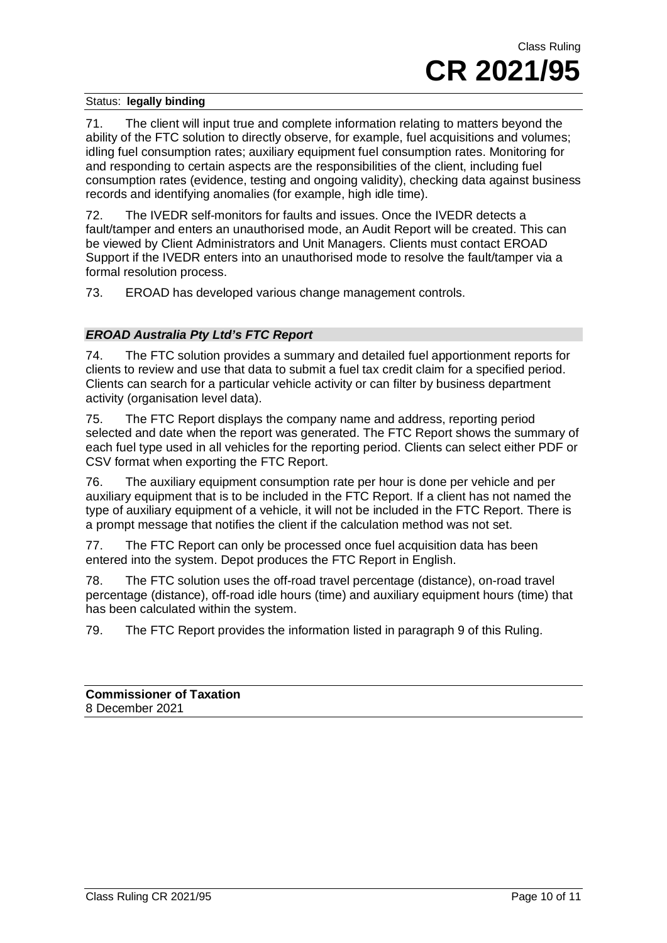71. The client will input true and complete information relating to matters beyond the ability of the FTC solution to directly observe, for example, fuel acquisitions and volumes; idling fuel consumption rates; auxiliary equipment fuel consumption rates. Monitoring for and responding to certain aspects are the responsibilities of the client, including fuel consumption rates (evidence, testing and ongoing validity), checking data against business records and identifying anomalies (for example, high idle time).

72. The IVEDR self-monitors for faults and issues. Once the IVEDR detects a fault/tamper and enters an unauthorised mode, an Audit Report will be created. This can be viewed by Client Administrators and Unit Managers. Clients must contact EROAD Support if the IVEDR enters into an unauthorised mode to resolve the fault/tamper via a formal resolution process.

73. EROAD has developed various change management controls.

### *EROAD Australia Pty Ltd's FTC Report*

74. The FTC solution provides a summary and detailed fuel apportionment reports for clients to review and use that data to submit a fuel tax credit claim for a specified period. Clients can search for a particular vehicle activity or can filter by business department activity (organisation level data).

75. The FTC Report displays the company name and address, reporting period selected and date when the report was generated. The FTC Report shows the summary of each fuel type used in all vehicles for the reporting period. Clients can select either PDF or CSV format when exporting the FTC Report.

76. The auxiliary equipment consumption rate per hour is done per vehicle and per auxiliary equipment that is to be included in the FTC Report. If a client has not named the type of auxiliary equipment of a vehicle, it will not be included in the FTC Report. There is a prompt message that notifies the client if the calculation method was not set.

77. The FTC Report can only be processed once fuel acquisition data has been entered into the system. Depot produces the FTC Report in English.

78. The FTC solution uses the off-road travel percentage (distance), on-road travel percentage (distance), off-road idle hours (time) and auxiliary equipment hours (time) that has been calculated within the system.

79. The FTC Report provides the information listed in paragraph 9 of this Ruling.

| <b>Commissioner of Taxation</b> |  |
|---------------------------------|--|
| 8 December 2021                 |  |